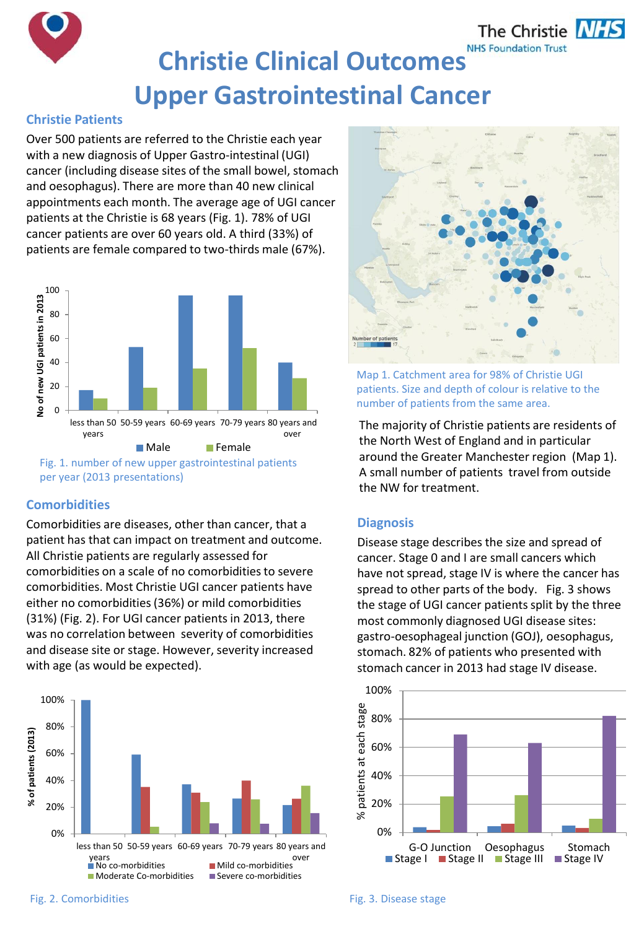

# **Christie Clinical Outcomes Upper Gastrointestinal Cancer**

## **Christie Patients**

Over 500 patients are referred to the Christie each year with a new diagnosis of Upper Gastro-intestinal (UGI) cancer (including disease sites of the small bowel, stomach and oesophagus). There are more than 40 new clinical appointments each month. The average age of UGI cancer patients at the Christie is 68 years (Fig. 1). 78% of UGI cancer patients are over 60 years old. A third (33%) of patients are female compared to two-thirds male (67%).



## **Comorbidities**

Comorbidities are diseases, other than cancer, that a patient has that can impact on treatment and outcome. All Christie patients are regularly assessed for comorbidities on a scale of no comorbidities to severe comorbidities. Most Christie UGI cancer patients have either no comorbidities (36%) or mild comorbidities (31%) (Fig. 2). For UGI cancer patients in 2013, there was no correlation between severity of comorbidities and disease site or stage. However, severity increased with age (as would be expected).





Map 1. Catchment area for 98% of Christie UGI patients. Size and depth of colour is relative to the number of patients from the same area.

The majority of Christie patients are residents of the North West of England and in particular around the Greater Manchester region (Map 1). A small number of patients travel from outside the NW for treatment.

## **Diagnosis**

Disease stage describes the size and spread of cancer. Stage 0 and I are small cancers which have not spread, stage IV is where the cancer has spread to other parts of the body. Fig. 3 shows the stage of UGI cancer patients split by the three most commonly diagnosed UGI disease sites: gastro-oesophageal junction (GOJ), oesophagus, stomach. 82% of patients who presented with stomach cancer in 2013 had stage IV disease.